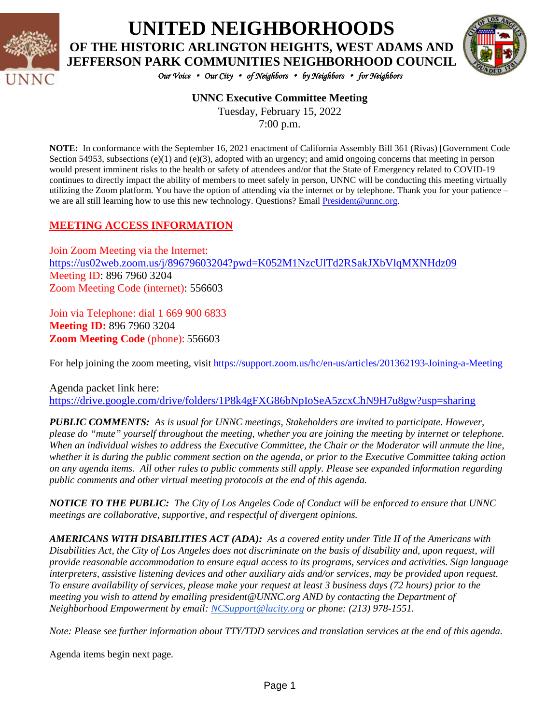

## **UNITED NEIGHBORHOODS OF THE HISTORIC ARLINGTON HEIGHTS, WEST ADAMS AND**

*Our Voice* • *Our City* • *of Neighbors* • *by Neighbors* • *for Neighbors* 

#### **UNNC Executive Committee Meeting**

Tuesday, February 15, 2022 7:00 p.m.

**NOTE:** In conformance with the September 16, 2021 enactment of California Assembly Bill 361 (Rivas) [Government Code Section 54953, subsections (e)(1) and (e)(3), adopted with an urgency; and amid ongoing concerns that meeting in person would present imminent risks to the health or safety of attendees and/or that the State of Emergency related to COVID-19 continues to directly impact the ability of members to meet safely in person, UNNC will be conducting this meeting virtually utilizing the Zoom platform. You have the option of attending via the internet or by telephone. Thank you for your patience – we are all still learning how to use this new technology. Questions? Email [President@unnc.org.](mailto:President@unnc.org)

#### **MEETING ACCESS INFORMATION**

Join Zoom Meeting via the Internet: <https://us02web.zoom.us/j/89679603204?pwd=K052M1NzcUlTd2RSakJXbVlqMXNHdz09> Meeting ID: 896 7960 3204 Zoom Meeting Code (internet): 556603

Join via Telephone: dial 1 669 900 6833 **Meeting ID:** 896 7960 3204 **Zoom Meeting Code** (phone): 556603

For help joining the zoom meeting, visit<https://support.zoom.us/hc/en-us/articles/201362193-Joining-a-Meeting>

Agenda packet link here: <https://drive.google.com/drive/folders/1P8k4gFXG86bNpIoSeA5zcxChN9H7u8gw?usp=sharing>

*PUBLIC COMMENTS: As is usual for UNNC meetings, Stakeholders are invited to participate. However, please do "mute" yourself throughout the meeting, whether you are joining the meeting by internet or telephone. When an individual wishes to address the Executive Committee, the Chair or the Moderator will unmute the line, whether it is during the public comment section on the agenda, or prior to the Executive Committee taking action on any agenda items. All other rules to public comments still apply. Please see expanded information regarding public comments and other virtual meeting protocols at the end of this agenda.*

*NOTICE TO THE PUBLIC: The City of Los Angeles Code of Conduct will be enforced to ensure that UNNC meetings are collaborative, supportive, and respectful of divergent opinions.* 

*AMERICANS WITH DISABILITIES ACT (ADA): As a covered entity under Title II of the Americans with Disabilities Act, the City of Los Angeles does not discriminate on the basis of disability and, upon request, will provide reasonable accommodation to ensure equal access to its programs, services and activities. Sign language interpreters, assistive listening devices and other auxiliary aids and/or services, may be provided upon request. To ensure availability of services, please make your request at least 3 business days (72 hours) prior to the meeting you wish to attend by emailing president@UNNC.org AND by contacting the Department of Neighborhood Empowerment by email: [NCSupport@lacity.org](mailto:NCSupport@lacity.org) or phone: (213) 978-1551.* 

*Note: Please see further information about TTY/TDD services and translation services at the end of this agenda.*

Agenda items begin next page*.*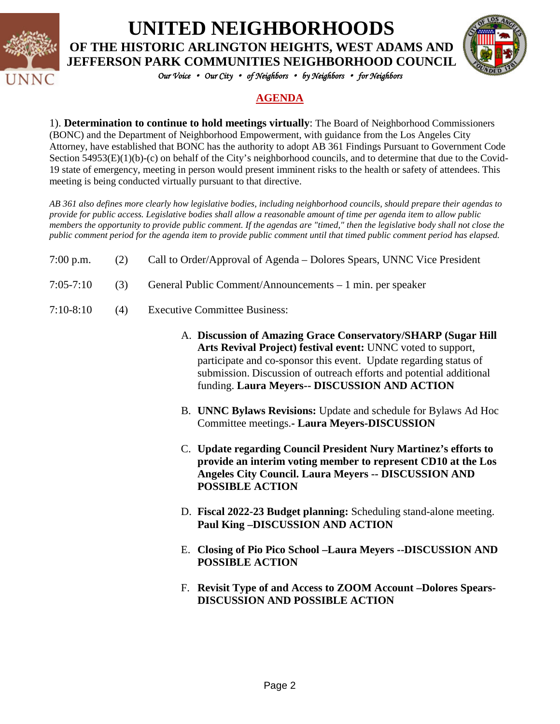

# **UNITED NEIGHBORHOODS**

**OF THE HISTORIC ARLINGTON HEIGHTS, WEST ADAMS AND JEFFERSON PARK COMMUNITIES NEIGHBORHOOD COUNCIL**



*Our Voice* • *Our City* • *of Neighbors* • *by Neighbors* • *for Neighbors* 

## **AGENDA**

1). **Determination to continue to hold meetings virtually**: The Board of Neighborhood Commissioners (BONC) and the Department of Neighborhood Empowerment, with guidance from the Los Angeles City Attorney, have established that BONC has the authority to adopt AB 361 Findings Pursuant to Government Code Section 54953(E)(1)(b)-(c) on behalf of the City's neighborhood councils, and to determine that due to the Covid-19 state of emergency, meeting in person would present imminent risks to the health or safety of attendees. This meeting is being conducted virtually pursuant to that directive.

*AB 361 also defines more clearly how legislative bodies, including neighborhood councils, should prepare their agendas to provide for public access. Legislative bodies shall allow a reasonable amount of time per agenda item to allow public members the opportunity to provide public comment. If the agendas are "timed," then the legislative body shall not close the public comment period for the agenda item to provide public comment until that timed public comment period has elapsed.*

- 7:00 p.m. (2) Call to Order/Approval of Agenda Dolores Spears, UNNC Vice President
- 7:05-7:10 (3) General Public Comment/Announcements 1 min. per speaker
- 7:10-8:10 (4) Executive Committee Business:
	- A. **Discussion of Amazing Grace Conservatory/SHARP (Sugar Hill Arts Revival Project) festival event:** UNNC voted to support, participate and co-sponsor this event. Update regarding status of submission. Discussion of outreach efforts and potential additional funding. **Laura Meyers-- DISCUSSION AND ACTION**
	- B. **UNNC Bylaws Revisions:** Update and schedule for Bylaws Ad Hoc Committee meetings.**- Laura Meyers-DISCUSSION**
	- C. **Update regarding Council President Nury Martinez's efforts to provide an interim voting member to represent CD10 at the Los Angeles City Council. Laura Meyers -- DISCUSSION AND POSSIBLE ACTION**
	- D. **Fiscal 2022-23 Budget planning:** Scheduling stand-alone meeting. **Paul King –DISCUSSION AND ACTION**
	- E. **Closing of Pio Pico School –Laura Meyers --DISCUSSION AND POSSIBLE ACTION**
	- F. **Revisit Type of and Access to ZOOM Account –Dolores Spears-DISCUSSION AND POSSIBLE ACTION**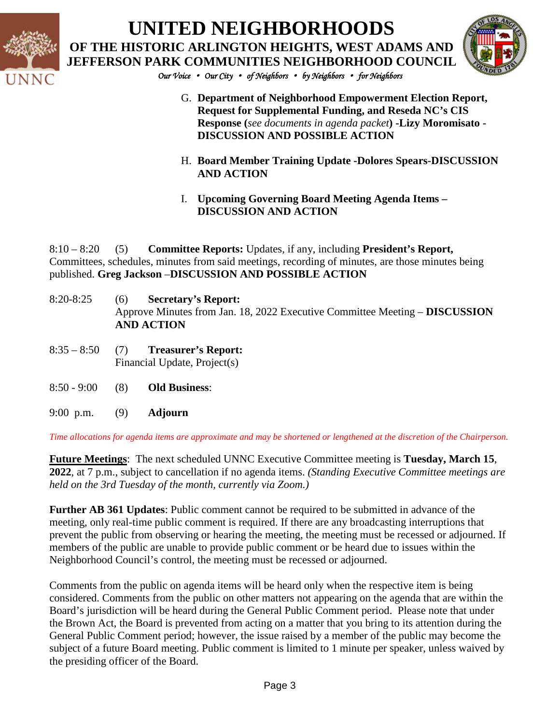

## **UNITED NEIGHBORHOODS OF THE HISTORIC ARLINGTON HEIGHTS, WEST ADAMS AND JEFFERSON PARK COMMUNITIES NEIGHBORHOOD COUNCIL**



*Our Voice* • *Our City* • *of Neighbors* • *by Neighbors* • *for Neighbors* 

- G. **Department of Neighborhood Empowerment Election Report, Request for Supplemental Funding, and Reseda NC's CIS Response (***see documents in agenda packet***) -Lizy Moromisato - DISCUSSION AND POSSIBLE ACTION**
- H. **Board Member Training Update -Dolores Spears-DISCUSSION AND ACTION**
- I. **Upcoming Governing Board Meeting Agenda Items – DISCUSSION AND ACTION**

8:10 – 8:20 (5) **Committee Reports:** Updates, if any, including **President's Report,**  Committees, schedules, minutes from said meetings, recording of minutes, are those minutes being published. **Greg Jackson** –**DISCUSSION AND POSSIBLE ACTION**

- 8:20-8:25 (6) **Secretary's Report:**  Approve Minutes from Jan. 18, 2022 Executive Committee Meeting – **DISCUSSION AND ACTION**
- 8:35 8:50 (7) **Treasurer's Report:** Financial Update, Project(s)
- 8:50 9:00 (8) **Old Business**:
- 9:00 p.m. (9) **Adjourn**

*Time allocations for agenda items are approximate and may be shortened or lengthened at the discretion of the Chairperson.*

**Future Meetings**: The next scheduled UNNC Executive Committee meeting is **Tuesday, March 15**, **2022**, at 7 p.m., subject to cancellation if no agenda items. *(Standing Executive Committee meetings are held on the 3rd Tuesday of the month, currently via Zoom.)*

**Further AB 361 Updates**: Public comment cannot be required to be submitted in advance of the meeting, only real-time public comment is required. If there are any broadcasting interruptions that prevent the public from observing or hearing the meeting, the meeting must be recessed or adjourned. If members of the public are unable to provide public comment or be heard due to issues within the Neighborhood Council's control, the meeting must be recessed or adjourned.

Comments from the public on agenda items will be heard only when the respective item is being considered. Comments from the public on other matters not appearing on the agenda that are within the Board's jurisdiction will be heard during the General Public Comment period. Please note that under the Brown Act, the Board is prevented from acting on a matter that you bring to its attention during the General Public Comment period; however, the issue raised by a member of the public may become the subject of a future Board meeting. Public comment is limited to 1 minute per speaker, unless waived by the presiding officer of the Board.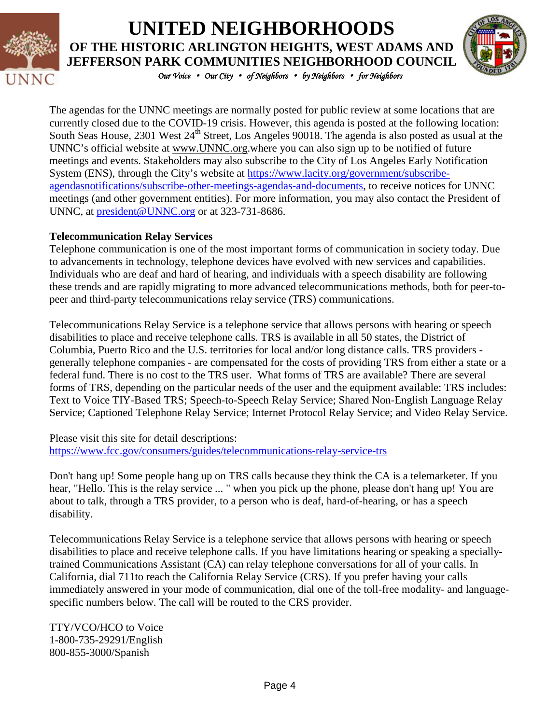

## **UNITED NEIGHBORHOODS OF THE HISTORIC ARLINGTON HEIGHTS, WEST ADAMS AND JEFFERSON PARK COMMUNITIES NEIGHBORHOOD COUNCIL**



*Our Voice* • *Our City* • *of Neighbors* • *by Neighbors* • *for Neighbors* 

The agendas for the UNNC meetings are normally posted for public review at some locations that are currently closed due to the COVID-19 crisis. However, this agenda is posted at the following location: South Seas House, 2301 West 24<sup>th</sup> Street, Los Angeles 90018. The agenda is also posted as usual at the UNNC's official website at [www.UNNC.org.](http://www.unnc.org/)where you can also sign up to be notified of future meetings and events. Stakeholders may also subscribe to the City of Los Angeles Early Notification System (ENS), through the City's website at [https://www.lacity.org/government/subscribe](https://www.lacity.org/government/subscribe-agendasnotifications/subscribe-other-meetings-agendas-and-documents)[agendasnotifications/subscribe-other-meetings-agendas-and-documents,](https://www.lacity.org/government/subscribe-agendasnotifications/subscribe-other-meetings-agendas-and-documents) to receive notices for UNNC meetings (and other government entities). For more information, you may also contact the President of UNNC, at [president@UNNC.org](mailto:president@UNNC.org) or at 323-731-8686.

#### **Telecommunication Relay Services**

Telephone communication is one of the most important forms of communication in society today. Due to advancements in technology, telephone devices have evolved with new services and capabilities. Individuals who are deaf and hard of hearing, and individuals with a speech disability are following these trends and are rapidly migrating to more advanced telecommunications methods, both for peer-topeer and third-party telecommunications relay service (TRS) communications.

Telecommunications Relay Service is a telephone service that allows persons with hearing or speech disabilities to place and receive telephone calls. TRS is available in all 50 states, the District of Columbia, Puerto Rico and the U.S. territories for local and/or long distance calls. TRS providers generally telephone companies - are compensated for the costs of providing TRS from either a state or a federal fund. There is no cost to the TRS user. What forms of TRS are available? There are several forms of TRS, depending on the particular needs of the user and the equipment available: TRS includes: Text to Voice TIY-Based TRS; Speech-to-Speech Relay Service; Shared Non-English Language Relay Service; Captioned Telephone Relay Service; Internet Protocol Relay Service; and Video Relay Service.

Please visit this site for detail descriptions: <https://www.fcc.gov/consumers/guides/telecommunications-relay-service-trs>

Don't hang up! Some people hang up on TRS calls because they think the CA is a telemarketer. If you hear, "Hello. This is the relay service ... " when you pick up the phone, please don't hang up! You are about to talk, through a TRS provider, to a person who is deaf, hard-of-hearing, or has a speech disability.

Telecommunications Relay Service is a telephone service that allows persons with hearing or speech disabilities to place and receive telephone calls. If you have limitations hearing or speaking a speciallytrained Communications Assistant (CA) can relay telephone conversations for all of your calls. In California, dial 711to reach the California Relay Service (CRS). If you prefer having your calls immediately answered in your mode of communication, dial one of the toll-free modality- and languagespecific numbers below. The call will be routed to the CRS provider.

TTY/VCO/HCO to Voice 1-800-735-29291/English 800-855-3000/Spanish